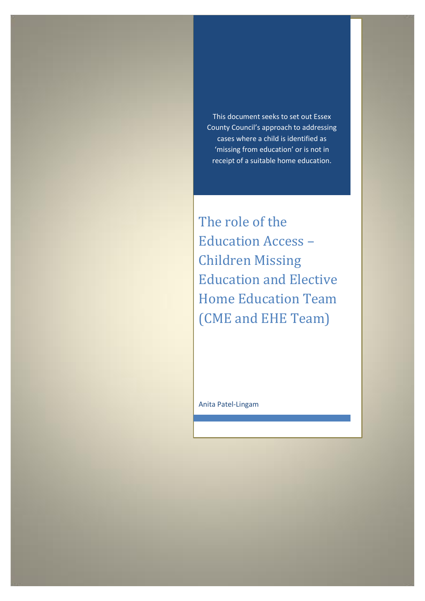This document seeks to set out Essex County Council's approach to addressing cases where a child is identified as 'missing from education' or is not in receipt of a suitable home education.

The role of the Education Access – Children Missing Education and Elective Home Education Team (CME and EHE Team)

Anita Patel-Lingam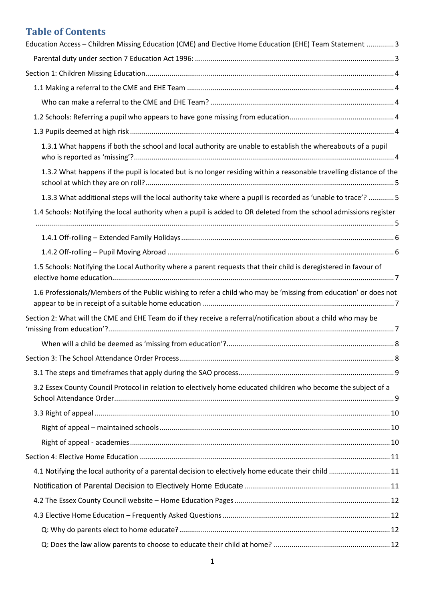# **Table of Contents**

| Education Access - Children Missing Education (CME) and Elective Home Education (EHE) Team Statement 3              |   |
|---------------------------------------------------------------------------------------------------------------------|---|
|                                                                                                                     |   |
|                                                                                                                     |   |
|                                                                                                                     |   |
|                                                                                                                     |   |
|                                                                                                                     |   |
|                                                                                                                     |   |
| 1.3.1 What happens if both the school and local authority are unable to establish the whereabouts of a pupil        |   |
| 1.3.2 What happens if the pupil is located but is no longer residing within a reasonable travelling distance of the |   |
| 1.3.3 What additional steps will the local authority take where a pupil is recorded as 'unable to trace'? 5         |   |
| 1.4 Schools: Notifying the local authority when a pupil is added to OR deleted from the school admissions register  |   |
|                                                                                                                     |   |
|                                                                                                                     |   |
| 1.5 Schools: Notifying the Local Authority where a parent requests that their child is deregistered in favour of    |   |
| 1.6 Professionals/Members of the Public wishing to refer a child who may be 'missing from education' or does not    |   |
| Section 2: What will the CME and EHE Team do if they receive a referral/notification about a child who may be       |   |
|                                                                                                                     |   |
| Section 3: The School Attendance Order Process.                                                                     | 8 |
|                                                                                                                     |   |
| 3.2 Essex County Council Protocol in relation to electively home educated children who become the subject of a      |   |
|                                                                                                                     |   |
|                                                                                                                     |   |
|                                                                                                                     |   |
|                                                                                                                     |   |
| 4.1 Notifying the local authority of a parental decision to electively home educate their child  11                 |   |
|                                                                                                                     |   |
|                                                                                                                     |   |
|                                                                                                                     |   |
|                                                                                                                     |   |
|                                                                                                                     |   |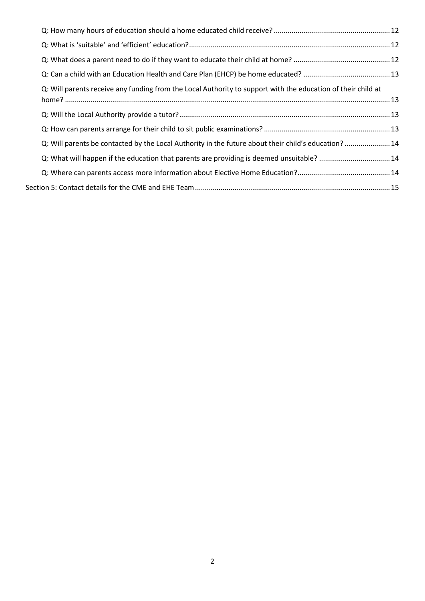| Q: Will parents receive any funding from the Local Authority to support with the education of their child at |  |
|--------------------------------------------------------------------------------------------------------------|--|
|                                                                                                              |  |
|                                                                                                              |  |
| Q: Will parents be contacted by the Local Authority in the future about their child's education?  14         |  |
| Q: What will happen if the education that parents are providing is deemed unsuitable?  14                    |  |
|                                                                                                              |  |
|                                                                                                              |  |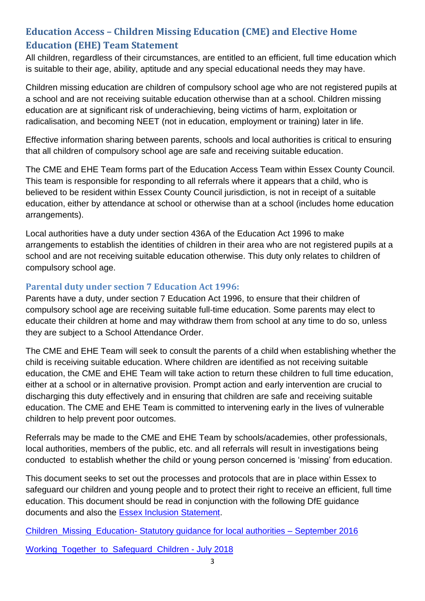# <span id="page-3-0"></span>**Education Access – Children Missing Education (CME) and Elective Home Education (EHE) Team Statement**

All children, regardless of their circumstances, are entitled to an efficient, full time education which is suitable to their age, ability, aptitude and any special educational needs they may have.

Children missing education are children of compulsory school age who are not registered pupils at a school and are not receiving suitable education otherwise than at a school. Children missing education are at significant risk of underachieving, being victims of harm, exploitation or radicalisation, and becoming NEET (not in education, employment or training) later in life.

Effective information sharing between parents, schools and local authorities is critical to ensuring that all children of compulsory school age are safe and receiving suitable education.

The CME and EHE Team forms part of the Education Access Team within Essex County Council. This team is responsible for responding to all referrals where it appears that a child, who is believed to be resident within Essex County Council jurisdiction, is not in receipt of a suitable education, either by attendance at school or otherwise than at a school (includes home education arrangements).

Local authorities have a duty under section 436A of the Education Act 1996 to make arrangements to establish the identities of children in their area who are not registered pupils at a school and are not receiving suitable education otherwise. This duty only relates to children of compulsory school age.

### <span id="page-3-1"></span>**Parental duty under section 7 Education Act 1996:**

Parents have a duty, under section 7 Education Act 1996, to ensure that their children of compulsory school age are receiving suitable full-time education. Some parents may elect to educate their children at home and may withdraw them from school at any time to do so, unless they are subject to a School Attendance Order.

The CME and EHE Team will seek to consult the parents of a child when establishing whether the child is receiving suitable education. Where children are identified as not receiving suitable education, the CME and EHE Team will take action to return these children to full time education, either at a school or in alternative provision. Prompt action and early intervention are crucial to discharging this duty effectively and in ensuring that children are safe and receiving suitable education. The CME and EHE Team is committed to intervening early in the lives of vulnerable children to help prevent poor outcomes.

Referrals may be made to the CME and EHE Team by schools/academies, other professionals, local authorities, members of the public, etc. and all referrals will result in investigations being conducted to establish whether the child or young person concerned is 'missing' from education.

This document seeks to set out the processes and protocols that are in place within Essex to safeguard our children and young people and to protect their right to receive an efficient, full time education. This document should be read in conjunction with the following DfE guidance documents and also the Essex Inclusion [Statement.](https://schools.essex.gov.uk/info/director/Documents/Essex%20Inclusion%20Statement%20Final%20(3).pdf)

Children\_Missing\_Education- [Statutory guidance for local authorities –](https://assets.publishing.service.gov.uk/government/uploads/system/uploads/attachment_data/file/550416/Children_Missing_Education_-_statutory_guidance.pdf) September 2016

[Working\\_Together\\_to\\_Safeguard\\_Children](https://assets.publishing.service.gov.uk/government/uploads/system/uploads/attachment_data/file/729914/Working_Together_to_Safeguard_Children-2018.pdf) - July 2018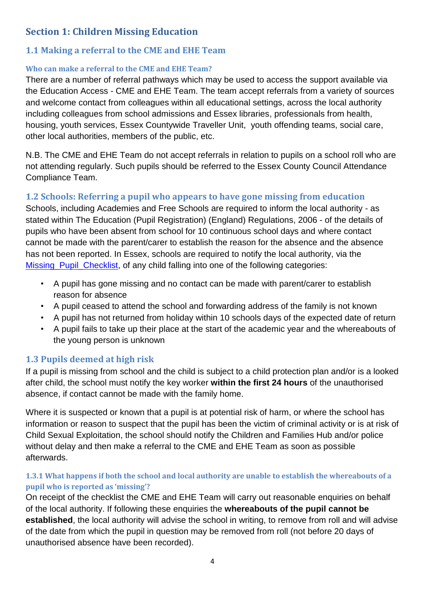# <span id="page-4-0"></span>**Section 1: Children Missing Education**

## <span id="page-4-1"></span>**1.1 Making a referral to the CME and EHE Team**

### <span id="page-4-2"></span>**Who can make a referral to the CME and EHE Team?**

There are a number of referral pathways which may be used to access the support available via the Education Access - CME and EHE Team. The team accept referrals from a variety of sources and welcome contact from colleagues within all educational settings, across the local authority including colleagues from school admissions and Essex libraries, professionals from health, housing, youth services, Essex Countywide Traveller Unit, youth offending teams, social care, other local authorities, members of the public, etc.

N.B. The CME and EHE Team do not accept referrals in relation to pupils on a school roll who are not attending regularly. Such pupils should be referred to the Essex County Council Attendance Compliance Team.

## <span id="page-4-3"></span>**1.2 Schools: Referring a pupil who appears to have gone missing from education**

Schools, including Academies and Free Schools are required to inform the local authority - as stated within The Education (Pupil Registration) (England) Regulations, 2006 - of the details of pupils who have been absent from school for 10 continuous school days and where contact cannot be made with the parent/carer to establish the reason for the absence and the absence has not been reported. In Essex, schools are required to notify the local authority, via the [Missing\\_Pupil\\_Checklist,](https://essex-self.achieveservice.com/service/Missing_Pupil_Checklist) of any child falling into one of the following categories:

- A pupil has gone missing and no contact can be made with parent/carer to establish reason for absence
- A pupil ceased to attend the school and forwarding address of the family is not known
- A pupil has not returned from holiday within 10 schools days of the expected date of return
- A pupil fails to take up their place at the start of the academic year and the whereabouts of the young person is unknown

## <span id="page-4-4"></span>**1.3 Pupils deemed at high risk**

If a pupil is missing from school and the child is subject to a child protection plan and/or is a looked after child, the school must notify the key worker **within the first 24 hours** of the unauthorised absence, if contact cannot be made with the family home.

Where it is suspected or known that a pupil is at potential risk of harm, or where the school has information or reason to suspect that the pupil has been the victim of criminal activity or is at risk of Child Sexual Exploitation, the school should notify the Children and Families Hub and/or police without delay and then make a referral to the CME and EHE Team as soon as possible afterwards.

### <span id="page-4-5"></span>**1.3.1 What happens if both the school and local authority are unable to establish the whereabouts of a pupil who is reported as 'missing'?**

On receipt of the checklist the CME and EHE Team will carry out reasonable enquiries on behalf of the local authority. If following these enquiries the **whereabouts of the pupil cannot be established**, the local authority will advise the school in writing, to remove from roll and will advise of the date from which the pupil in question may be removed from roll (not before 20 days of unauthorised absence have been recorded).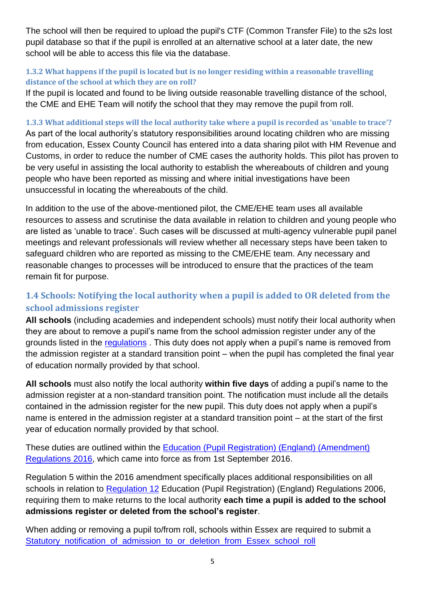The school will then be required to upload the pupil's CTF (Common Transfer File) to the s2s lost pupil database so that if the pupil is enrolled at an alternative school at a later date, the new school will be able to access this file via the database.

### <span id="page-5-0"></span>**1.3.2 What happens if the pupil is located but is no longer residing within a reasonable travelling distance of the school at which they are on roll?**

If the pupil is located and found to be living outside reasonable travelling distance of the school, the CME and EHE Team will notify the school that they may remove the pupil from roll.

<span id="page-5-1"></span>**1.3.3 What additional steps will the local authority take where a pupil is recorded as 'unable to trace'?** As part of the local authority's statutory responsibilities around locating children who are missing from education, Essex County Council has entered into a data sharing pilot with HM Revenue and Customs, in order to reduce the number of CME cases the authority holds. This pilot has proven to be very useful in assisting the local authority to establish the whereabouts of children and young people who have been reported as missing and where initial investigations have been unsuccessful in locating the whereabouts of the child.

In addition to the use of the above-mentioned pilot, the CME/EHE team uses all available resources to assess and scrutinise the data available in relation to children and young people who are listed as 'unable to trace'. Such cases will be discussed at multi-agency vulnerable pupil panel meetings and relevant professionals will review whether all necessary steps have been taken to safeguard children who are reported as missing to the CME/EHE team. Any necessary and reasonable changes to processes will be introduced to ensure that the practices of the team remain fit for purpose.

# <span id="page-5-2"></span>**1.4 Schools: Notifying the local authority when a pupil is added to OR deleted from the school admissions register**

**All schools** (including academies and independent schools) must notify their local authority when they are about to remove a pupil's name from the school admission register under any of the grounds listed in the [regulations](http://www.legislation.gov.uk/uksi/2006/1751/regulation/8/made) . This duty does not apply when a pupil's name is removed from the admission register at a standard transition point – when the pupil has completed the final year of education normally provided by that school.

**All schools** must also notify the local authority **within five days** of adding a pupil's name to the admission register at a non-standard transition point. The notification must include all the details contained in the admission register for the new pupil. This duty does not apply when a pupil's name is entered in the admission register at a standard transition point – at the start of the first year of education normally provided by that school.

These duties are outlined within the [Education \(Pupil Registration\) \(England\) \(Amendment\)](http://www.legislation.gov.uk/uksi/2016/792/made)  [Regulations 2016,](http://www.legislation.gov.uk/uksi/2016/792/made) which came into force as from 1st September 2016.

Regulation 5 within the 2016 amendment specifically places additional responsibilities on all schools in relation to [Regulation 12](http://www.legislation.gov.uk/uksi/2006/1751/regulation/12/made) Education (Pupil Registration) (England) Regulations 2006, requiring them to make returns to the local authority **each time a pupil is added to the school admissions register or deleted from the school's register**.

When adding or removing a pupil to/from roll, schools within Essex are required to submit a [Statutory\\_notification\\_of\\_admission\\_to\\_or\\_deletion\\_from\\_Essex\\_school\\_roll](https://essex-self.achieveservice.com/service/Statutory_notification_of_admission_to_or_deletion_from_Essex_school_roll)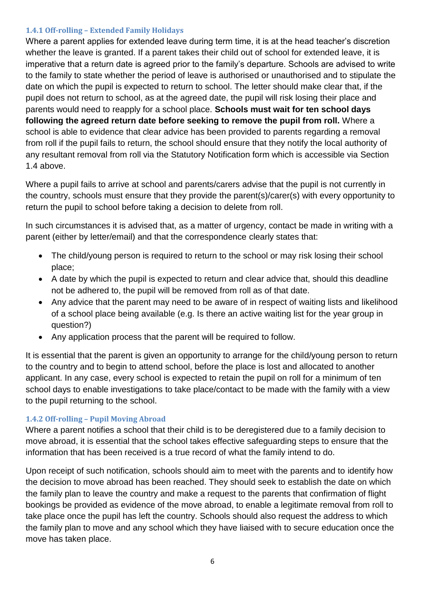#### <span id="page-6-0"></span>**1.4.1 Off-rolling – Extended Family Holidays**

Where a parent applies for extended leave during term time, it is at the head teacher's discretion whether the leave is granted. If a parent takes their child out of school for extended leave, it is imperative that a return date is agreed prior to the family's departure. Schools are advised to write to the family to state whether the period of leave is authorised or unauthorised and to stipulate the date on which the pupil is expected to return to school. The letter should make clear that, if the pupil does not return to school, as at the agreed date, the pupil will risk losing their place and parents would need to reapply for a school place. **Schools must wait for ten school days following the agreed return date before seeking to remove the pupil from roll.** Where a school is able to evidence that clear advice has been provided to parents regarding a removal from roll if the pupil fails to return, the school should ensure that they notify the local authority of any resultant removal from roll via the Statutory Notification form which is accessible via Section 1.4 above.

Where a pupil fails to arrive at school and parents/carers advise that the pupil is not currently in the country, schools must ensure that they provide the parent(s)/carer(s) with every opportunity to return the pupil to school before taking a decision to delete from roll.

In such circumstances it is advised that, as a matter of urgency, contact be made in writing with a parent (either by letter/email) and that the correspondence clearly states that:

- The child/young person is required to return to the school or may risk losing their school place;
- A date by which the pupil is expected to return and clear advice that, should this deadline not be adhered to, the pupil will be removed from roll as of that date.
- Any advice that the parent may need to be aware of in respect of waiting lists and likelihood of a school place being available (e.g. Is there an active waiting list for the year group in question?)
- Any application process that the parent will be required to follow.

It is essential that the parent is given an opportunity to arrange for the child/young person to return to the country and to begin to attend school, before the place is lost and allocated to another applicant. In any case, every school is expected to retain the pupil on roll for a minimum of ten school days to enable investigations to take place/contact to be made with the family with a view to the pupil returning to the school.

### <span id="page-6-1"></span>**1.4.2 Off-rolling – Pupil Moving Abroad**

Where a parent notifies a school that their child is to be deregistered due to a family decision to move abroad, it is essential that the school takes effective safeguarding steps to ensure that the information that has been received is a true record of what the family intend to do.

Upon receipt of such notification, schools should aim to meet with the parents and to identify how the decision to move abroad has been reached. They should seek to establish the date on which the family plan to leave the country and make a request to the parents that confirmation of flight bookings be provided as evidence of the move abroad, to enable a legitimate removal from roll to take place once the pupil has left the country. Schools should also request the address to which the family plan to move and any school which they have liaised with to secure education once the move has taken place.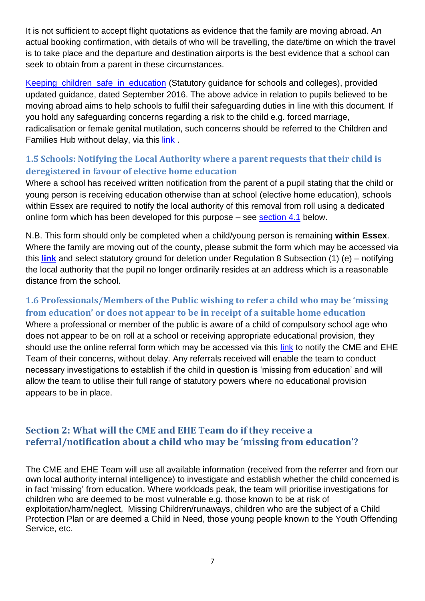It is not sufficient to accept flight quotations as evidence that the family are moving abroad. An actual booking confirmation, with details of who will be travelling, the date/time on which the travel is to take place and the departure and destination airports is the best evidence that a school can seek to obtain from a parent in these circumstances.

Keeping children safe in education (Statutory guidance for schools and colleges), provided updated guidance, dated September 2016. The above advice in relation to pupils believed to be moving abroad aims to help schools to fulfil their safeguarding duties in line with this document. If you hold any safeguarding concerns regarding a risk to the child e.g. forced marriage, radicalisation or female genital mutilation, such concerns should be referred to the Children and Families Hub without delay, via this [link](https://schools.essex.gov.uk/pupils/Safeguarding/Child_Protection_Referrals/Pages/Safeguarding-Key-Service-Contact-Infomation.aspx) .

## <span id="page-7-0"></span>**1.5 Schools: Notifying the Local Authority where a parent requests that their child is deregistered in favour of elective home education**

Where a school has received written notification from the parent of a pupil stating that the child or young person is receiving education otherwise than at school (elective home education), schools within Essex are required to notify the local authority of this removal from roll using a dedicated online form which has been developed for this purpose – see [section 4.1](#page-11-1) below.

N.B. This form should only be completed when a child/young person is remaining **within Essex**. Where the family are moving out of the county, please submit the form which may be accessed via this **[link](https://forms.essex.gov.uk/default.aspx/RenderForm/?F.Name=Hh9HbLrtxsH&HideAll=1)** and select statutory ground for deletion under Regulation 8 Subsection (1) (e) – notifying the local authority that the pupil no longer ordinarily resides at an address which is a reasonable distance from the school.

## <span id="page-7-1"></span>**1.6 Professionals/Members of the Public wishing to refer a child who may be 'missing from education' or does not appear to be in receipt of a suitable home education**

Where a professional or member of the public is aware of a child of compulsory school age who does not appear to be on roll at a school or receiving appropriate educational provision, they should use the online referral form which may be accessed via this [link](https://forms.essex.gov.uk/default.aspx/RenderForm/?F.Name=pKScKSpA11r&HideAll=1) to notify the CME and EHE Team of their concerns, without delay. Any referrals received will enable the team to conduct necessary investigations to establish if the child in question is 'missing from education' and will allow the team to utilise their full range of statutory powers where no educational provision appears to be in place.

## <span id="page-7-2"></span>**Section 2: What will the CME and EHE Team do if they receive a referral/notification about a child who may be 'missing from education'?**

The CME and EHE Team will use all available information (received from the referrer and from our own local authority internal intelligence) to investigate and establish whether the child concerned is in fact 'missing' from education. Where workloads peak, the team will prioritise investigations for children who are deemed to be most vulnerable e.g. those known to be at risk of exploitation/harm/neglect, Missing Children/runaways, children who are the subject of a Child Protection Plan or are deemed a Child in Need, those young people known to the Youth Offending Service, etc.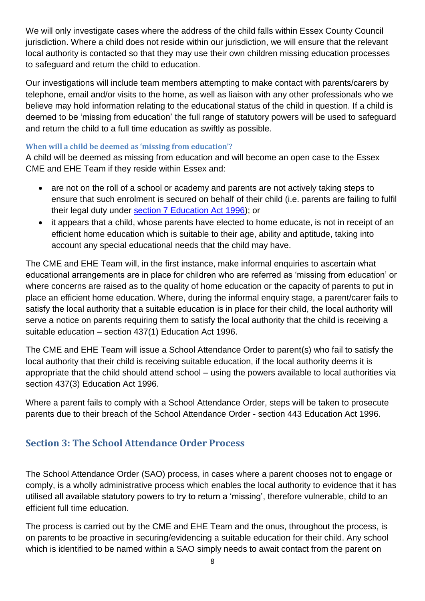We will only investigate cases where the address of the child falls within Essex County Council jurisdiction. Where a child does not reside within our jurisdiction, we will ensure that the relevant local authority is contacted so that they may use their own children missing education processes to safeguard and return the child to education.

Our investigations will include team members attempting to make contact with parents/carers by telephone, email and/or visits to the home, as well as liaison with any other professionals who we believe may hold information relating to the educational status of the child in question. If a child is deemed to be 'missing from education' the full range of statutory powers will be used to safeguard and return the child to a full time education as swiftly as possible.

#### <span id="page-8-0"></span>**When will a child be deemed as 'missing from education'?**

A child will be deemed as missing from education and will become an open case to the Essex CME and EHE Team if they reside within Essex and:

- are not on the roll of a school or academy and parents are not actively taking steps to ensure that such enrolment is secured on behalf of their child (i.e. parents are failing to fulfil their legal duty under [section 7 Education Act 1996\)](#page-3-1); or
- it appears that a child, whose parents have elected to home educate, is not in receipt of an efficient home education which is suitable to their age, ability and aptitude, taking into account any special educational needs that the child may have.

The CME and EHE Team will, in the first instance, make informal enquiries to ascertain what educational arrangements are in place for children who are referred as 'missing from education' or where concerns are raised as to the quality of home education or the capacity of parents to put in place an efficient home education. Where, during the informal enquiry stage, a parent/carer fails to satisfy the local authority that a suitable education is in place for their child, the local authority will serve a notice on parents requiring them to satisfy the local authority that the child is receiving a suitable education – section 437(1) Education Act 1996.

The CME and EHE Team will issue a School Attendance Order to parent(s) who fail to satisfy the local authority that their child is receiving suitable education, if the local authority deems it is appropriate that the child should attend school – using the powers available to local authorities via section 437(3) Education Act 1996.

Where a parent fails to comply with a School Attendance Order, steps will be taken to prosecute parents due to their breach of the School Attendance Order - section 443 Education Act 1996.

## <span id="page-8-1"></span>**Section 3: The School Attendance Order Process**

The School Attendance Order (SAO) process, in cases where a parent chooses not to engage or comply, is a wholly administrative process which enables the local authority to evidence that it has utilised all available statutory powers to try to return a 'missing', therefore vulnerable, child to an efficient full time education.

The process is carried out by the CME and EHE Team and the onus, throughout the process, is on parents to be proactive in securing/evidencing a suitable education for their child. Any school which is identified to be named within a SAO simply needs to await contact from the parent on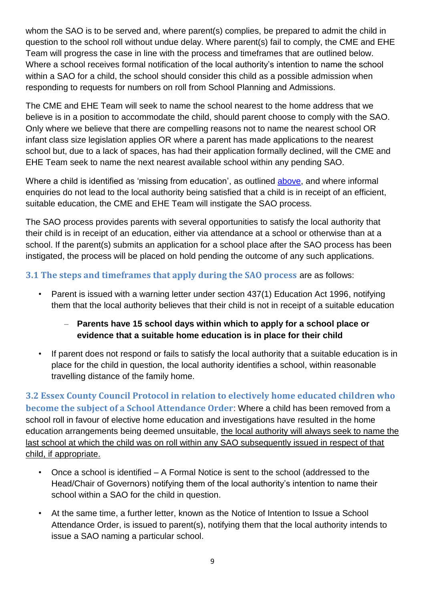whom the SAO is to be served and, where parent(s) complies, be prepared to admit the child in question to the school roll without undue delay. Where parent(s) fail to comply, the CME and EHE Team will progress the case in line with the process and timeframes that are outlined below. Where a school receives formal notification of the local authority's intention to name the school within a SAO for a child, the school should consider this child as a possible admission when responding to requests for numbers on roll from School Planning and Admissions.

The CME and EHE Team will seek to name the school nearest to the home address that we believe is in a position to accommodate the child, should parent choose to comply with the SAO. Only where we believe that there are compelling reasons not to name the nearest school OR infant class size legislation applies OR where a parent has made applications to the nearest school but, due to a lack of spaces, has had their application formally declined, will the CME and EHE Team seek to name the next nearest available school within any pending SAO.

Where a child is identified as 'missing from education', as outlined [above,](#page-8-0) and where informal enquiries do not lead to the local authority being satisfied that a child is in receipt of an efficient, suitable education, the CME and EHE Team will instigate the SAO process.

The SAO process provides parents with several opportunities to satisfy the local authority that their child is in receipt of an education, either via attendance at a school or otherwise than at a school. If the parent(s) submits an application for a school place after the SAO process has been instigated, the process will be placed on hold pending the outcome of any such applications.

### <span id="page-9-0"></span>**3.1 The steps and timeframes that apply during the SAO process** are as follows:

- Parent is issued with a warning letter under section 437(1) Education Act 1996, notifying them that the local authority believes that their child is not in receipt of a suitable education
	- **Parents have 15 school days within which to apply for a school place or evidence that a suitable home education is in place for their child**
- If parent does not respond or fails to satisfy the local authority that a suitable education is in place for the child in question, the local authority identifies a school, within reasonable travelling distance of the family home.

<span id="page-9-1"></span>**3.2 Essex County Council Protocol in relation to electively home educated children who become the subject of a School Attendance Order**: Where a child has been removed from a school roll in favour of elective home education and investigations have resulted in the home education arrangements being deemed unsuitable, the local authority will always seek to name the last school at which the child was on roll within any SAO subsequently issued in respect of that child, if appropriate.

- Once a school is identified A Formal Notice is sent to the school (addressed to the Head/Chair of Governors) notifying them of the local authority's intention to name their school within a SAO for the child in question.
- At the same time, a further letter, known as the Notice of Intention to Issue a School Attendance Order, is issued to parent(s), notifying them that the local authority intends to issue a SAO naming a particular school.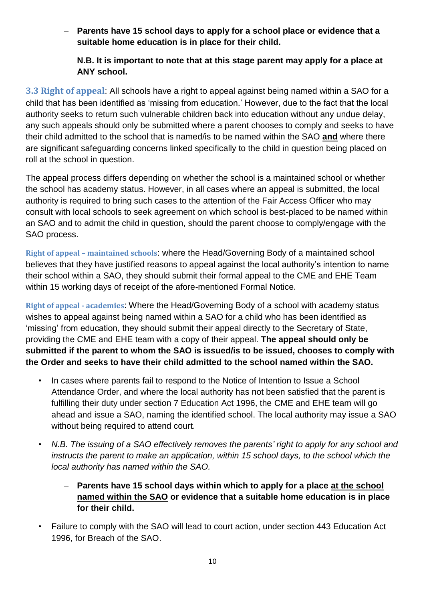– **Parents have 15 school days to apply for a school place or evidence that a suitable home education is in place for their child.** 

### **N.B. It is important to note that at this stage parent may apply for a place at ANY school.**

<span id="page-10-0"></span>**3.3 Right of appeal**: All schools have a right to appeal against being named within a SAO for a child that has been identified as 'missing from education.' However, due to the fact that the local authority seeks to return such vulnerable children back into education without any undue delay, any such appeals should only be submitted where a parent chooses to comply and seeks to have their child admitted to the school that is named/is to be named within the SAO **and** where there are significant safeguarding concerns linked specifically to the child in question being placed on roll at the school in question.

The appeal process differs depending on whether the school is a maintained school or whether the school has academy status. However, in all cases where an appeal is submitted, the local authority is required to bring such cases to the attention of the Fair Access Officer who may consult with local schools to seek agreement on which school is best-placed to be named within an SAO and to admit the child in question, should the parent choose to comply/engage with the SAO process.

<span id="page-10-1"></span>**Right of appeal – maintained schools**: where the Head/Governing Body of a maintained school believes that they have justified reasons to appeal against the local authority's intention to name their school within a SAO, they should submit their formal appeal to the CME and EHE Team within 15 working days of receipt of the afore-mentioned Formal Notice.

<span id="page-10-2"></span>**Right of appeal - academies**: Where the Head/Governing Body of a school with academy status wishes to appeal against being named within a SAO for a child who has been identified as 'missing' from education, they should submit their appeal directly to the Secretary of State, providing the CME and EHE team with a copy of their appeal. **The appeal should only be submitted if the parent to whom the SAO is issued/is to be issued, chooses to comply with the Order and seeks to have their child admitted to the school named within the SAO.** 

- In cases where parents fail to respond to the Notice of Intention to Issue a School Attendance Order, and where the local authority has not been satisfied that the parent is fulfilling their duty under section 7 Education Act 1996, the CME and EHE team will go ahead and issue a SAO, naming the identified school. The local authority may issue a SAO without being required to attend court.
- *N.B. The issuing of a SAO effectively removes the parents' right to apply for any school and instructs the parent to make an application, within 15 school days, to the school which the local authority has named within the SAO.*
	- **Parents have 15 school days within which to apply for a place at the school named within the SAO or evidence that a suitable home education is in place for their child.**
- Failure to comply with the SAO will lead to court action, under section 443 Education Act 1996, for Breach of the SAO.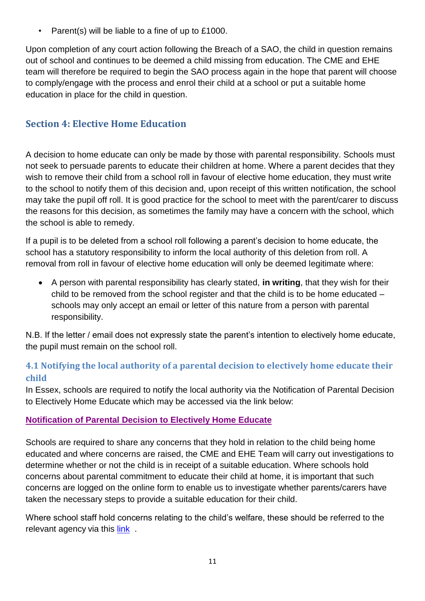• Parent(s) will be liable to a fine of up to £1000.

Upon completion of any court action following the Breach of a SAO, the child in question remains out of school and continues to be deemed a child missing from education. The CME and EHE team will therefore be required to begin the SAO process again in the hope that parent will choose to comply/engage with the process and enrol their child at a school or put a suitable home education in place for the child in question.

# <span id="page-11-0"></span>**Section 4: Elective Home Education**

A decision to home educate can only be made by those with parental responsibility. Schools must not seek to persuade parents to educate their children at home. Where a parent decides that they wish to remove their child from a school roll in favour of elective home education, they must write to the school to notify them of this decision and, upon receipt of this written notification, the school may take the pupil off roll. It is good practice for the school to meet with the parent/carer to discuss the reasons for this decision, as sometimes the family may have a concern with the school, which the school is able to remedy.

If a pupil is to be deleted from a school roll following a parent's decision to home educate, the school has a statutory responsibility to inform the local authority of this deletion from roll. A removal from roll in favour of elective home education will only be deemed legitimate where:

 A person with parental responsibility has clearly stated, **in writing**, that they wish for their child to be removed from the school register and that the child is to be home educated – schools may only accept an email or letter of this nature from a person with parental responsibility.

N.B. If the letter / email does not expressly state the parent's intention to electively home educate, the pupil must remain on the school roll.

# <span id="page-11-1"></span>**4.1 Notifying the local authority of a parental decision to electively home educate their child**

In Essex, schools are required to notify the local authority via the Notification of Parental Decision to Electively Home Educate which may be accessed via the link below:

## <span id="page-11-2"></span>**[Notification](https://essex-self.achieveservice.com/service/Notification_of_Parental_Decision_to_Electively_Home_Educate) of Parental Decision to Electively Home Educate**

Schools are required to share any concerns that they hold in relation to the child being home educated and where concerns are raised, the CME and EHE Team will carry out investigations to determine whether or not the child is in receipt of a suitable education. Where schools hold concerns about parental commitment to educate their child at home, it is important that such concerns are logged on the online form to enable us to investigate whether parents/carers have taken the necessary steps to provide a suitable education for their child.

Where school staff hold concerns relating to the child's welfare, these should be referred to the relevant agency via this link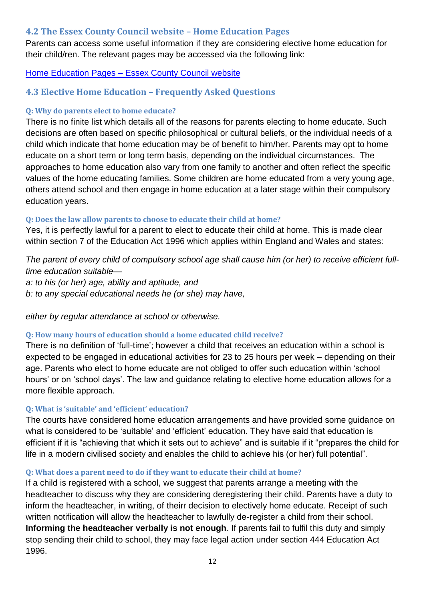### <span id="page-12-0"></span>**4.2 The Essex County Council website – Home Education Pages**

Parents can access some useful information if they are considering elective home education for their child/ren. The relevant pages may be accessed via the following link:

### Home Education Pages – [Essex County Council website](http://www.essex.gov.uk/Education-Schools/Schools/Learning/Home%20education/Pages/Default.aspx)

## <span id="page-12-1"></span>**4.3 Elective Home Education – Frequently Asked Questions**

### <span id="page-12-2"></span>**Q: Why do parents elect to home educate?**

There is no finite list which details all of the reasons for parents electing to home educate. Such decisions are often based on specific philosophical or cultural beliefs, or the individual needs of a child which indicate that home education may be of benefit to him/her. Parents may opt to home educate on a short term or long term basis, depending on the individual circumstances. The approaches to home education also vary from one family to another and often reflect the specific values of the home educating families. Some children are home educated from a very young age, others attend school and then engage in home education at a later stage within their compulsory education years.

#### <span id="page-12-3"></span>**Q: Does the law allow parents to choose to educate their child at home?**

Yes, it is perfectly lawful for a parent to elect to educate their child at home. This is made clear within section 7 of the Education Act 1996 which applies within England and Wales and states:

*The parent of every child of compulsory school age shall cause him (or her) to receive efficient fulltime education suitable a: to his (or her) age, ability and aptitude, and b: to any special educational needs he (or she) may have,* 

*either by regular attendance at school or otherwise.*

### <span id="page-12-4"></span>**Q: How many hours of education should a home educated child receive?**

There is no definition of 'full-time'; however a child that receives an education within a school is expected to be engaged in educational activities for 23 to 25 hours per week – depending on their age. Parents who elect to home educate are not obliged to offer such education within 'school hours' or on 'school days'. The law and guidance relating to elective home education allows for a more flexible approach.

### <span id="page-12-5"></span>**Q: What is 'suitable' and 'efficient' education?**

The courts have considered home education arrangements and have provided some guidance on what is considered to be 'suitable' and 'efficient' education. They have said that education is efficient if it is "achieving that which it sets out to achieve" and is suitable if it "prepares the child for life in a modern civilised society and enables the child to achieve his (or her) full potential".

### <span id="page-12-6"></span>**Q: What does a parent need to do if they want to educate their child at home?**

If a child is registered with a school, we suggest that parents arrange a meeting with the headteacher to discuss why they are considering deregistering their child. Parents have a duty to inform the headteacher, in writing, of theirr decision to electively home educate. Receipt of such written notification will allow the headteacher to lawfully de-register a child from their school. **Informing the headteacher verbally is not enough**. If parents fail to fulfil this duty and simply stop sending their child to school, they may face legal action under section 444 Education Act 1996.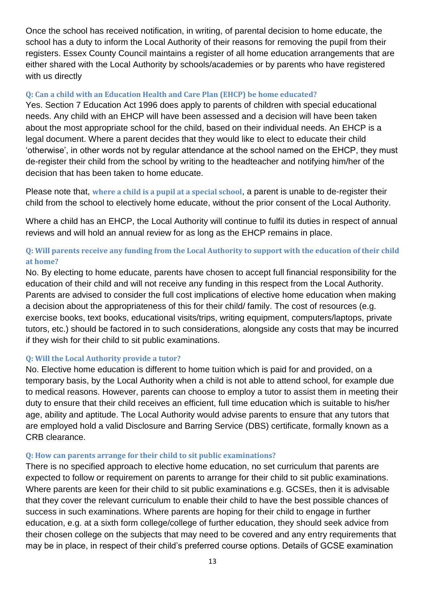Once the school has received notification, in writing, of parental decision to home educate, the school has a duty to inform the Local Authority of their reasons for removing the pupil from their registers. Essex County Council maintains a register of all home education arrangements that are either shared with the Local Authority by schools/academies or by parents who have registered with us directly

### <span id="page-13-0"></span>**Q: Can a child with an Education Health and Care Plan (EHCP) be home educated?**

Yes. Section 7 Education Act 1996 does apply to parents of children with special educational needs. Any child with an EHCP will have been assessed and a decision will have been taken about the most appropriate school for the child, based on their individual needs. An EHCP is a legal document. Where a parent decides that they would like to elect to educate their child 'otherwise', in other words not by regular attendance at the school named on the EHCP, they must de-register their child from the school by writing to the headteacher and notifying him/her of the decision that has been taken to home educate.

Please note that, **where a child is a pupil at a special school**, a parent is unable to de-register their child from the school to electively home educate, without the prior consent of the Local Authority.

Where a child has an EHCP, the Local Authority will continue to fulfil its duties in respect of annual reviews and will hold an annual review for as long as the EHCP remains in place.

### <span id="page-13-1"></span>**Q: Will parents receive any funding from the Local Authority to support with the education of their child at home?**

No. By electing to home educate, parents have chosen to accept full financial responsibility for the education of their child and will not receive any funding in this respect from the Local Authority. Parents are advised to consider the full cost implications of elective home education when making a decision about the appropriateness of this for their child/ family. The cost of resources (e.g. exercise books, text books, educational visits/trips, writing equipment, computers/laptops, private tutors, etc.) should be factored in to such considerations, alongside any costs that may be incurred if they wish for their child to sit public examinations.

#### <span id="page-13-2"></span>**Q: Will the Local Authority provide a tutor?**

No. Elective home education is different to home tuition which is paid for and provided, on a temporary basis, by the Local Authority when a child is not able to attend school, for example due to medical reasons. However, parents can choose to employ a tutor to assist them in meeting their duty to ensure that their child receives an efficient, full time education which is suitable to his/her age, ability and aptitude. The Local Authority would advise parents to ensure that any tutors that are employed hold a valid Disclosure and Barring Service (DBS) certificate, formally known as a CRB clearance.

#### <span id="page-13-3"></span>**Q: How can parents arrange for their child to sit public examinations?**

There is no specified approach to elective home education, no set curriculum that parents are expected to follow or requirement on parents to arrange for their child to sit public examinations. Where parents are keen for their child to sit public examinations e.g. GCSEs, then it is advisable that they cover the relevant curriculum to enable their child to have the best possible chances of success in such examinations. Where parents are hoping for their child to engage in further education, e.g. at a sixth form college/college of further education, they should seek advice from their chosen college on the subjects that may need to be covered and any entry requirements that may be in place, in respect of their child's preferred course options. Details of GCSE examination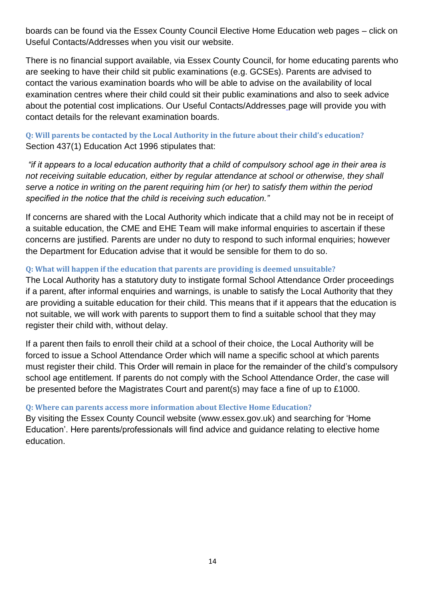boards can be found via the Essex County Council Elective Home Education web pages – click on Useful Contacts/Addresses when you visit our website.

There is no financial support available, via Essex County Council, for home educating parents who are seeking to have their child sit public examinations (e.g. GCSEs). Parents are advised to contact the various examination boards who will be able to advise on the availability of local examination centres where their child could sit their public examinations and also to seek advice about the potential cost implications. Our Useful Contacts/Addresses [p](http://www.essex.gov.uk/Education-Schools/Schools/Learning/Home%20education/Pages/Useful-contacts.aspx)age will provide you with contact details for the relevant examination boards.

<span id="page-14-0"></span>**Q: Will parents be contacted by the Local Authority in the future about their child's education?**  Section 437(1) Education Act 1996 stipulates that:

*"if it appears to a local education authority that a child of compulsory school age in their area is not receiving suitable education, either by regular attendance at school or otherwise, they shall serve a notice in writing on the parent requiring him (or her) to satisfy them within the period specified in the notice that the child is receiving such education."* 

If concerns are shared with the Local Authority which indicate that a child may not be in receipt of a suitable education, the CME and EHE Team will make informal enquiries to ascertain if these concerns are justified. Parents are under no duty to respond to such informal enquiries; however the Department for Education advise that it would be sensible for them to do so.

#### <span id="page-14-1"></span>**Q: What will happen if the education that parents are providing is deemed unsuitable?**

The Local Authority has a statutory duty to instigate formal School Attendance Order proceedings if a parent, after informal enquiries and warnings, is unable to satisfy the Local Authority that they are providing a suitable education for their child. This means that if it appears that the education is not suitable, we will work with parents to support them to find a suitable school that they may register their child with, without delay.

If a parent then fails to enroll their child at a school of their choice, the Local Authority will be forced to issue a School Attendance Order which will name a specific school at which parents must register their child. This Order will remain in place for the remainder of the child's compulsory school age entitlement. If parents do not comply with the School Attendance Order, the case will be presented before the Magistrates Court and parent(s) may face a fine of up to £1000.

### <span id="page-14-2"></span>**Q: Where can parents access more information about Elective Home Education?**

By visiting the Essex County Council website (www.essex.gov.uk) and searching for 'Home Education'. Here parents/professionals will find advice and guidance relating to elective home education.